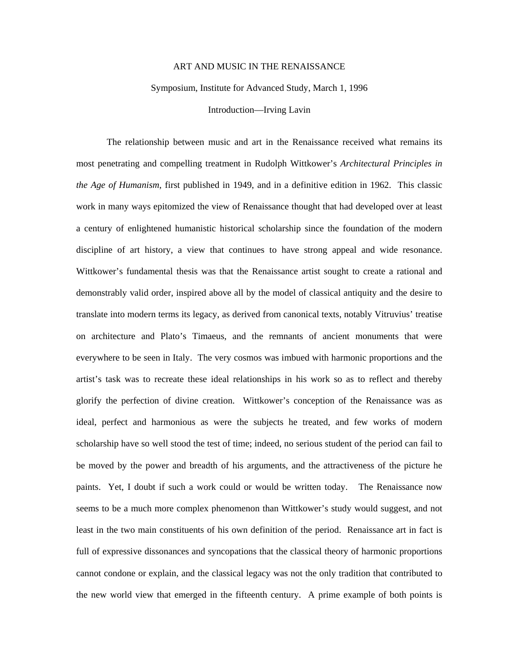## ART AND MUSIC IN THE RENAISSANCE

Symposium, Institute for Advanced Study, March 1, 1996

Introduction—Irving Lavin

 The relationship between music and art in the Renaissance received what remains its most penetrating and compelling treatment in Rudolph Wittkower's *Architectural Principles in the Age of Humanism*, first published in 1949, and in a definitive edition in 1962. This classic work in many ways epitomized the view of Renaissance thought that had developed over at least a century of enlightened humanistic historical scholarship since the foundation of the modern discipline of art history, a view that continues to have strong appeal and wide resonance. Wittkower's fundamental thesis was that the Renaissance artist sought to create a rational and demonstrably valid order, inspired above all by the model of classical antiquity and the desire to translate into modern terms its legacy, as derived from canonical texts, notably Vitruvius' treatise on architecture and Plato's Timaeus, and the remnants of ancient monuments that were everywhere to be seen in Italy. The very cosmos was imbued with harmonic proportions and the artist's task was to recreate these ideal relationships in his work so as to reflect and thereby glorify the perfection of divine creation. Wittkower's conception of the Renaissance was as ideal, perfect and harmonious as were the subjects he treated, and few works of modern scholarship have so well stood the test of time; indeed, no serious student of the period can fail to be moved by the power and breadth of his arguments, and the attractiveness of the picture he paints. Yet, I doubt if such a work could or would be written today. The Renaissance now seems to be a much more complex phenomenon than Wittkower's study would suggest, and not least in the two main constituents of his own definition of the period. Renaissance art in fact is full of expressive dissonances and syncopations that the classical theory of harmonic proportions cannot condone or explain, and the classical legacy was not the only tradition that contributed to the new world view that emerged in the fifteenth century. A prime example of both points is